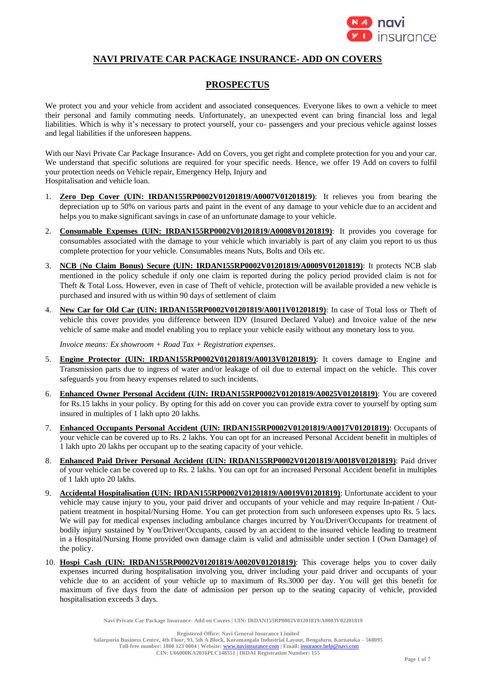

# **NAVI PRIVATE CAR PACKAGE INSURANCE- ADD ON COVERS**

# **PROSPECTUS**

We protect you and your vehicle from accident and associated consequences. Everyone likes to own a vehicle to meet their personal and family commuting needs. Unfortunately, an unexpected event can bring financial loss and legal liabilities. Which is why it's necessary to protect yourself, your co- passengers and your precious vehicle against losses and legal liabilities if the unforeseen happens.

With our Navi Private Car Package Insurance- Add on Covers, you get right and complete protection for you and your car. We understand that specific solutions are required for your specific needs. Hence, we offer 19 Add on covers to fulfil your protection needs on Vehicle repair, Emergency Help, Injury and Hospitalisation and vehicle loan.

- 1. **Zero Dep Cover (UIN: IRDAN155RP0002V01201819/A0007V01201819)**: It relieves you from bearing the depreciation up to 50% on various parts and paint in the event of any damage to your vehicle due to an accident and helps you to make significant savings in case of an unfortunate damage to your vehicle.
- 2. **Consumable Expenses (UIN: IRDAN155RP0002V01201819/A0008V01201819)**: It provides you coverage for consumables associated with the damage to your vehicle which invariably is part of any claim you report to us thus complete protection for your vehicle. Consumables means Nuts, Bolts and Oils etc.
- 3. **NCB** (**No Claim Bonus) Secure (UIN: IRDAN155RP0002V01201819/A0009V01201819)**: It protects NCB slab mentioned in the policy schedule if only one claim is reported during the policy period provided claim is not for Theft & Total Loss. However, even in case of Theft of vehicle, protection will be available provided a new vehicle is purchased and insured with us within 90 days of settlement of claim
- 4. **New Car for Old Car (UIN: IRDAN155RP0002V01201819/A0011V01201819)**: In case of Total loss or Theft of vehicle this cover provides you difference between IDV (Insured Declared Value) and Invoice value of the new vehicle of same make and model enabling you to replace your vehicle easily without any monetary loss to you.

*Invoice means: Ex showroom + Road Tax + Registration expenses*.

- 5. **Engine Protector (UIN: IRDAN155RP0002V01201819/A0013V01201819)**: It covers damage to Engine and Transmission parts due to ingress of water and/or leakage of oil due to external impact on the vehicle. This cover safeguards you from heavy expenses related to such incidents.
- 6. **Enhanced Owner Personal Accident (UIN: IRDAN155RP0002V01201819/A0025V01201819)**: You are covered for Rs.15 lakhs in your policy. By opting for this add on cover you can provide extra cover to yourself by opting sum insured in multiples of 1 lakh upto 20 lakhs.
- 7. **Enhanced Occupants Personal Accident (UIN: IRDAN155RP0002V01201819/A0017V01201819)**: Occupants of your vehicle can be covered up to Rs. 2 lakhs. You can opt for an increased Personal Accident benefit in multiples of 1 lakh upto 20 lakhs per occupant up to the seating capacity of your vehicle.
- 8. **Enhanced Paid Driver Personal Accident (UIN: IRDAN155RP0002V01201819/A0018V01201819)**: Paid driver of your vehicle can be covered up to Rs. 2 lakhs. You can opt for an increased Personal Accident benefit in multiples of 1 lakh upto 20 lakhs.
- 9. **Accidental Hospitalisation (UIN: IRDAN155RP0002V01201819/A0019V01201819)**: Unfortunate accident to your vehicle may cause injury to you, your paid driver and occupants of your vehicle and may require In-patient / Outpatient treatment in hospital/Nursing Home. You can get protection from such unforeseen expenses upto Rs. 5 lacs. We will pay for medical expenses including ambulance charges incurred by You/Driver/Occupants for treatment of bodily injury sustained by You/Driver/Occupants, caused by an accident to the insured vehicle leading to treatment in a Hospital/Nursing Home provided own damage claim is valid and admissible under section I (Own Damage) of the policy.
- 10. **Hospi Cash (UIN: IRDAN155RP0002V01201819/A0020V01201819)**: This coverage helps you to cover daily expenses incurred during hospitalisation involving you, driver including your paid driver and occupants of your vehicle due to an accident of your vehicle up to maximum of Rs.3000 per day. You will get this benefit for maximum of five days from the date of admission per person up to the seating capacity of vehicle, provided hospitalisation exceeds 3 days.

**Navi Private Car Package Insurance- Add on Covers | UIN: IRDAN155RP0002V01201819/A0083V02201819**

**Registered Office: Navi General Insurance Limited**

**Salarpuria Business Centre, 4th Floor, 93, 5th A Block, Koramangala Industrial Layout, Bengaluru, Karnataka – 560095**

Toll-free number: 1800 123 0004 | Website: **[www.naviinsurance.com](http://www.naviinsurance.com/)** | Email: *insurance* **CIN: U66000KA2016PLC148551 | IRDAI Registration Number: 155**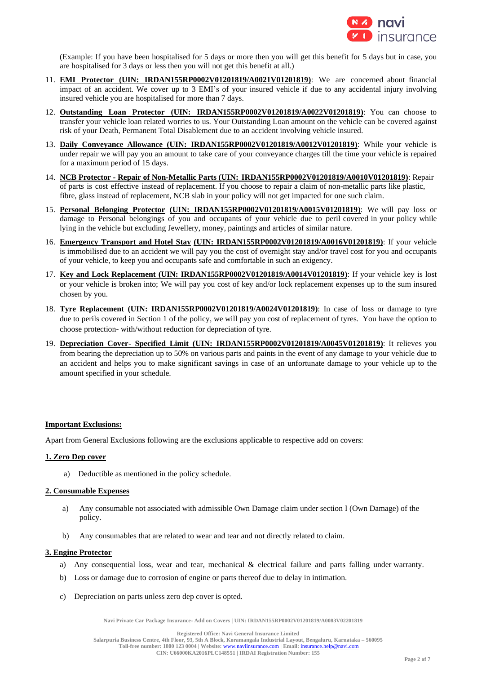

(Example: If you have been hospitalised for 5 days or more then you will get this benefit for 5 days but in case, you are hospitalised for 3 days or less then you will not get this benefit at all.)

- 11. **EMI Protector (UIN: IRDAN155RP0002V01201819/A0021V01201819)**: We are concerned about financial impact of an accident. We cover up to 3 EMI's of your insured vehicle if due to any accidental injury involving insured vehicle you are hospitalised for more than 7 days.
- 12. **Outstanding Loan Protector (UIN: IRDAN155RP0002V01201819/A0022V01201819)**: You can choose to transfer your vehicle loan related worries to us. Your Outstanding Loan amount on the vehicle can be covered against risk of your Death, Permanent Total Disablement due to an accident involving vehicle insured.
- 13. **Daily Conveyance Allowance (UIN: IRDAN155RP0002V01201819/A0012V01201819)**: While your vehicle is under repair we will pay you an amount to take care of your conveyance charges till the time your vehicle is repaired for a maximum period of 15 days.
- 14. **NCB Protector - Repair of Non-Metallic Parts (UIN: IRDAN155RP0002V01201819/A0010V01201819)**: Repair of parts is cost effective instead of replacement. If you choose to repair a claim of non-metallic parts like plastic, fibre, glass instead of replacement, NCB slab in your policy will not get impacted for one such claim.
- 15. **Personal Belonging Protector (UIN: IRDAN155RP0002V01201819/A0015V01201819)**: We will pay loss or damage to Personal belongings of you and occupants of your vehicle due to peril covered in your policy while lying in the vehicle but excluding Jewellery, money, paintings and articles of similar nature.
- 16. **Emergency Transport and Hotel Stay (UIN: IRDAN155RP0002V01201819/A0016V01201819)**: If your vehicle is immobilised due to an accident we will pay you the cost of overnight stay and/or travel cost for you and occupants of your vehicle, to keep you and occupants safe and comfortable in such an exigency.
- 17. **Key and Lock Replacement (UIN: IRDAN155RP0002V01201819/A0014V01201819)**: If your vehicle key is lost or your vehicle is broken into; We will pay you cost of key and/or lock replacement expenses up to the sum insured chosen by you.
- 18. **Tyre Replacement (UIN: IRDAN155RP0002V01201819/A0024V01201819)**: In case of loss or damage to tyre due to perils covered in Section 1 of the policy, we will pay you cost of replacement of tyres. You have the option to choose protection- with/without reduction for depreciation of tyre.
- 19. **Depreciation Cover- Specified Limit (UIN: IRDAN155RP0002V01201819/A0045V01201819)**: It relieves you from bearing the depreciation up to 50% on various parts and paints in the event of any damage to your vehicle due to an accident and helps you to make significant savings in case of an unfortunate damage to your vehicle up to the amount specified in your schedule.

## **Important Exclusions:**

Apart from General Exclusions following are the exclusions applicable to respective add on covers:

## **1. Zero Dep cover**

a) Deductible as mentioned in the policy schedule.

#### **2. Consumable Expenses**

- a) Any consumable not associated with admissible Own Damage claim under section I (Own Damage) of the policy.
- b) Any consumables that are related to wear and tear and not directly related to claim.

#### **3. Engine Protector**

- a) Any consequential loss, wear and tear, mechanical & electrical failure and parts falling under warranty.
- b) Loss or damage due to corrosion of engine or parts thereof due to delay in intimation.
- c) Depreciation on parts unless zero dep cover is opted.

**Navi Private Car Package Insurance- Add on Covers | UIN: IRDAN155RP0002V01201819/A0083V02201819**

**Salarpuria Business Centre, 4th Floor, 93, 5th A Block, Koramangala Industrial Layout, Bengaluru, Karnataka – 560095**

Toll-free number: 1800 123 0004 | Website: **[www.naviinsurance.com](http://www.naviinsurance.com/)** | Email: *insura* **CIN: U66000KA2016PLC148551 | IRDAI Registration Number: 155**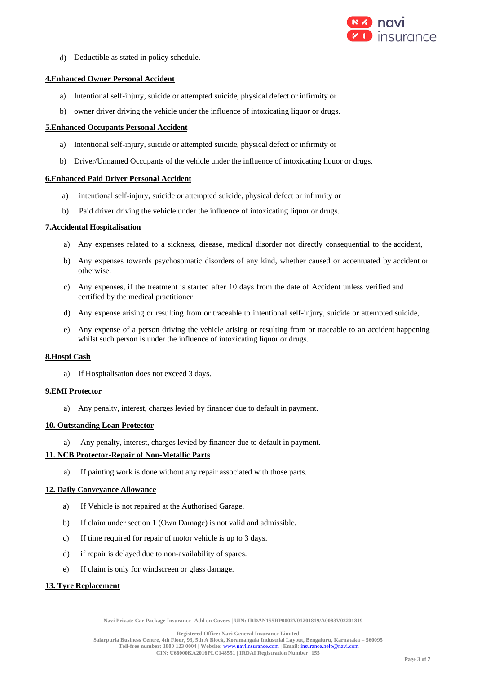

d) Deductible as stated in policy schedule.

## **4.Enhanced Owner Personal Accident**

- a) Intentional self-injury, suicide or attempted suicide, physical defect or infirmity or
- b) owner driver driving the vehicle under the influence of intoxicating liquor or drugs.

#### **5.Enhanced Occupants Personal Accident**

- a) Intentional self-injury, suicide or attempted suicide, physical defect or infirmity or
- b) Driver/Unnamed Occupants of the vehicle under the influence of intoxicating liquor or drugs.

#### **6.Enhanced Paid Driver Personal Accident**

- a) intentional self-injury, suicide or attempted suicide, physical defect or infirmity or
- b) Paid driver driving the vehicle under the influence of intoxicating liquor or drugs.

#### **7.Accidental Hospitalisation**

- a) Any expenses related to a sickness, disease, medical disorder not directly consequential to the accident,
- b) Any expenses towards psychosomatic disorders of any kind, whether caused or accentuated by accident or otherwise.
- c) Any expenses, if the treatment is started after 10 days from the date of Accident unless verified and certified by the medical practitioner
- d) Any expense arising or resulting from or traceable to intentional self-injury, suicide or attempted suicide,
- e) Any expense of a person driving the vehicle arising or resulting from or traceable to an accident happening whilst such person is under the influence of intoxicating liquor or drugs.

#### **8.Hospi Cash**

a) If Hospitalisation does not exceed 3 days.

#### **9.EMI Protector**

a) Any penalty, interest, charges levied by financer due to default in payment.

## **10. Outstanding Loan Protector**

a) Any penalty, interest, charges levied by financer due to default in payment.

## **11. NCB Protector-Repair of Non-Metallic Parts**

a) If painting work is done without any repair associated with those parts.

#### **12. Daily Conveyance Allowance**

- a) If Vehicle is not repaired at the Authorised Garage.
- b) If claim under section 1 (Own Damage) is not valid and admissible.
- c) If time required for repair of motor vehicle is up to 3 days.
- d) if repair is delayed due to non-availability of spares.
- e) If claim is only for windscreen or glass damage.

#### **13. Tyre Replacement**

**Navi Private Car Package Insurance- Add on Covers | UIN: IRDAN155RP0002V01201819/A0083V02201819**

**Registered Office: Navi General Insurance Limited**

**Salarpuria Business Centre, 4th Floor, 93, 5th A Block, Koramangala Industrial Layout, Bengaluru, Karnataka – 560095 Toll-free number: 1800 123 0004 | Website:** [www.naviinsurance.com](http://www.naviinsurance.com/) **| Email:** [insurance.help@navi.com](mailto:insurance.help@navi.com)

**CIN: U66000KA2016PLC148551 | IRDAI Registration Number: 155**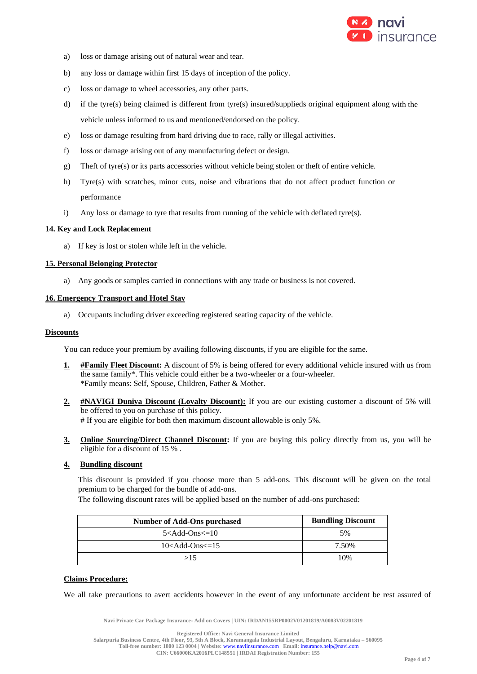

- a) loss or damage arising out of natural wear and tear.
- b) any loss or damage within first 15 days of inception of the policy.
- c) loss or damage to wheel accessories, any other parts.
- d) if the tyre(s) being claimed is different from tyre(s) insured/supplieds original equipment along with the vehicle unless informed to us and mentioned/endorsed on the policy.
- e) loss or damage resulting from hard driving due to race, rally or illegal activities.
- f) loss or damage arising out of any manufacturing defect or design.
- g) Theft of tyre(s) or its parts accessories without vehicle being stolen or theft of entire vehicle.
- h) Tyre(s) with scratches, minor cuts, noise and vibrations that do not affect product function or performance
- i) Any loss or damage to tyre that results from running of the vehicle with deflated tyre(s).

#### **14. Key and Lock Replacement**

a) If key is lost or stolen while left in the vehicle.

#### **15. Personal Belonging Protector**

a) Any goods or samples carried in connections with any trade or business is not covered.

#### **16. Emergency Transport and Hotel Stay**

a) Occupants including driver exceeding registered seating capacity of the vehicle.

#### **Discounts**

You can reduce your premium by availing following discounts, if you are eligible for the same.

- **1. #Family Fleet Discount:** A discount of 5% is being offered for every additional vehicle insured with us from the same family\*. This vehicle could either be a two-wheeler or a four-wheeler. \*Family means: Self, Spouse, Children, Father & Mother.
- **2. #NAVIGI Duniya Discount (Loyalty Discount):** If you are our existing customer a discount of 5% will be offered to you on purchase of this policy. # If you are eligible for both then maximum discount allowable is only 5%.
- **3. Online Sourcing/Direct Channel Discount:** If you are buying this policy directly from us, you will be eligible for a discount of 15 % .

#### **4. Bundling discount**

This discount is provided if you choose more than 5 add-ons. This discount will be given on the total premium to be charged for the bundle of add-ons.

The following discount rates will be applied based on the number of add-ons purchased:

| Number of Add-Ons purchased | <b>Bundling Discount</b> |
|-----------------------------|--------------------------|
| $5<$ Add-Ons $\leq$ =10     | .5%                      |
| $10<$ Add-Ons $\le$ =15     | 7.50%                    |
| >15                         | 10%                      |

## **Claims Procedure:**

We all take precautions to avert accidents however in the event of any unfortunate accident be rest assured of

**Navi Private Car Package Insurance- Add on Covers | UIN: IRDAN155RP0002V01201819/A0083V02201819**

**Salarpuria Business Centre, 4th Floor, 93, 5th A Block, Koramangala Industrial Layout, Bengaluru, Karnataka – 560095**

**Toll-free number: 1800 123 0004 | Website:** [www.naviinsurance.com](http://www.naviinsurance.com/) **| Email:** [insurance.help@navi.com](mailto:insurance.help@navi.com)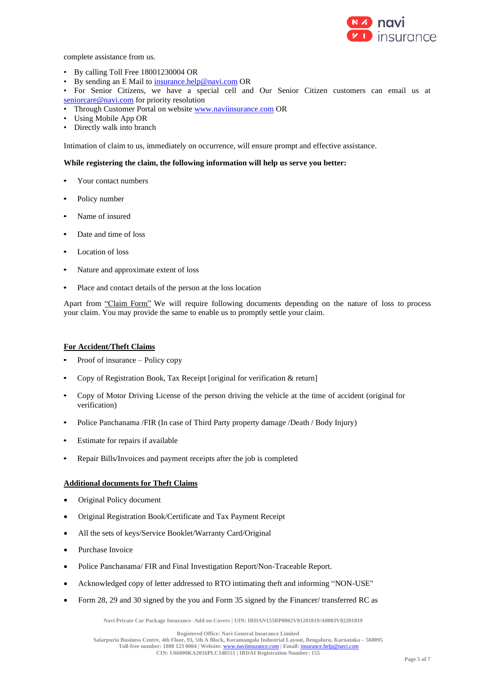

complete assistance from us.

- By calling Toll Free 18001230004 OR
- By sending an E Mail t[o insurance.help@navi.com](mailto:insurance.help@navi.com) OR
- For Senior Citizens, we have a special cell and Our Senior Citizen customers can email us at [seniorcare@navi.com](mailto:seniorcare@navi.com) for priority resolution
- Through Customer Portal on website [www.naviinsurance.com](http://www.naviinsurance.com/) OR
- Using Mobile App OR
- Directly walk into branch

Intimation of claim to us, immediately on occurrence, will ensure prompt and effective assistance.

#### **While registering the claim, the following information will help us serve you better:**

- Your contact numbers
- Policy number
- Name of insured
- Date and time of loss
- Location of loss
- Nature and approximate extent of loss
- Place and contact details of the person at the loss location

Apart from "Claim Form" We will require following documents depending on the nature of loss to process your claim. You may provide the same to enable us to promptly settle your claim.

## **For Accident/Theft Claims**

- Proof of insurance Policy copy
- Copy of Registration Book, Tax Receipt [original for verification & return]
- Copy of Motor Driving License of the person driving the vehicle at the time of accident (original for verification)
- Police Panchanama /FIR (In case of Third Party property damage /Death / Body Injury)
- Estimate for repairs if available
- Repair Bills/Invoices and payment receipts after the job is completed

#### **Additional documents for Theft Claims**

- Original Policy document
- Original Registration Book/Certificate and Tax Payment Receipt
- All the sets of keys/Service Booklet/Warranty Card/Original
- Purchase Invoice
- Police Panchanama/ FIR and Final Investigation Report/Non-Traceable Report.
- Acknowledged copy of letter addressed to RTO intimating theft and informing "NON-USE"
- Form 28, 29 and 30 signed by the you and Form 35 signed by the Financer/ transferred RC as

**Navi Private Car Package Insurance- Add on Covers | UIN: IRDAN155RP0002V01201819/A0083V02201819**

**Registered Office: Navi General Insurance Limited**

**Salarpuria Business Centre, 4th Floor, 93, 5th A Block, Koramangala Industrial Layout, Bengaluru, Karnataka – 560095 Toll-free number: 1800 123 0004 | Website:** [www.naviinsurance.com](http://www.naviinsurance.com/) **| Email:** [insurance.help@navi.com](mailto:insurance.help@navi.com)

**CIN: U66000KA2016PLC148551 | IRDAI Registration Number: 155**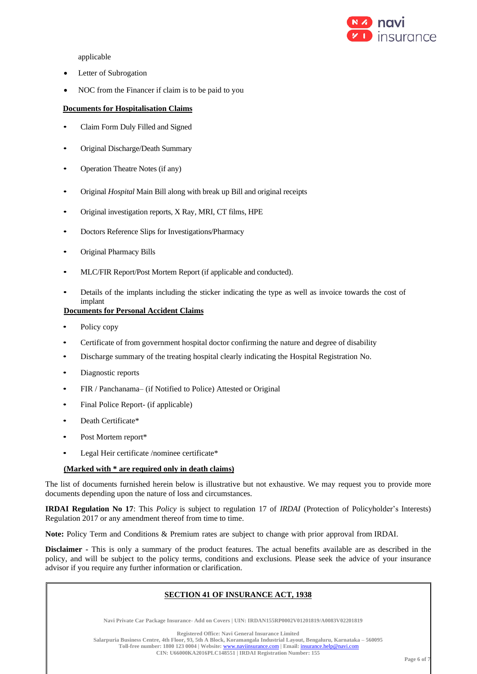

applicable

- Letter of Subrogation
- NOC from the Financer if claim is to be paid to you

## **Documents for Hospitalisation Claims**

- Claim Form Duly Filled and Signed
- Original Discharge/Death Summary
- Operation Theatre Notes (if any)
- Original *Hospital* Main Bill along with break up Bill and original receipts
- Original investigation reports, X Ray, MRI, CT films, HPE
- Doctors Reference Slips for Investigations/Pharmacy
- Original Pharmacy Bills
- MLC/FIR Report/Post Mortem Report (if applicable and conducted).
- Details of the implants including the sticker indicating the type as well as invoice towards the cost of implant

## **Documents for Personal Accident Claims**

- Policy copy
- Certificate of from government hospital doctor confirming the nature and degree of disability
- Discharge summary of the treating hospital clearly indicating the Hospital Registration No.
- Diagnostic reports
- FIR / Panchanama– (if Notified to Police) Attested or Original
- Final Police Report- (if applicable)
- Death Certificate\*
- Post Mortem report\*
- Legal Heir certificate /nominee certificate\*

## **(Marked with \* are required only in death claims)**

The list of documents furnished herein below is illustrative but not exhaustive. We may request you to provide more documents depending upon the nature of loss and circumstances.

**IRDAI Regulation No 17**: This *Policy* is subject to regulation 17 of *IRDAI* (Protection of Policyholder's Interests) Regulation 2017 or any amendment thereof from time to time.

**Note:** Policy Term and Conditions & Premium rates are subject to change with prior approval from IRDAI.

**Disclaimer -** This is only a summary of the product features. The actual benefits available are as described in the policy, and will be subject to the policy terms, conditions and exclusions. Please seek the advice of your insurance advisor if you require any further information or clarification.

## **SECTION 41 OF INSURANCE ACT, 1938**

**Navi Private Car Package Insurance- Add on Covers | UIN: IRDAN155RP0002V01201819/A0083V02201819**

**Registered Office: Navi General Insurance Limited**

**Salarpuria Business Centre, 4th Floor, 93, 5th A Block, Koramangala Industrial Layout, Bengaluru, Karnataka – 560095 Toll-free number: 1800 123 0004 | Website:** [www.naviinsurance.com](http://www.naviinsurance.com/) **| Email:** [insurance.help@navi.com](mailto:insurance.help@navi.com)

**CIN: U66000KA2016PLC148551 | IRDAI Registration Number: 155**